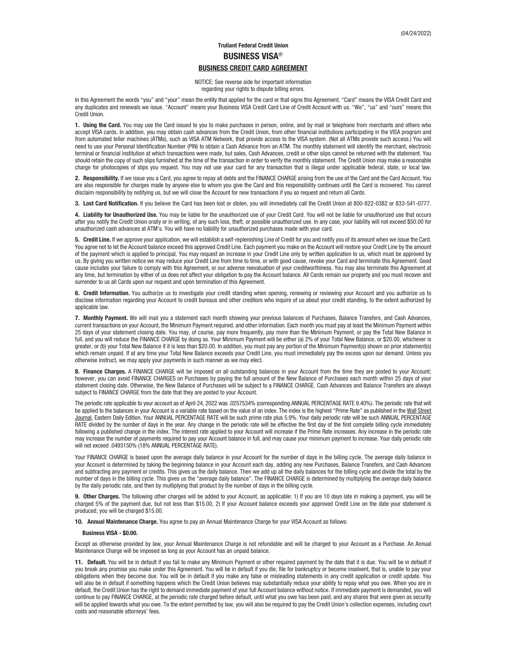# **Truliant Federal Credit Union BUSINESS VISA**® **BUSINESS CREDIT CARD AGREEMENT**

NOTICE: See reverse side for important information regarding your rights to dispute billing errors.

In this Agreement the words "you" and "your" mean the entity that applied for the card or that signs this Agreement. "Card" means the VISA Credit Card and any duplicates and renewals we issue. "Account" means your Business VISA Credit Card Line of Credit Account with us. "We", "us" and "ours" means this Credit Union.

**1. Using the Card.** You may use the Card issued to you to make purchases in person, online, and by mail or telephone from merchants and others who accept VISA cards. In addition, you may obtain cash advances from the Credit Union, from other financial institutions participating in the VISA program and from automated teller machines (ATMs), such as VISA ATM Network, that provide access to the VISA system. (Not all ATMs provide such access.) You will need to use your Personal Identification Number (PIN) to obtain a Cash Advance from an ATM. The monthly statement will identify the merchant, electronic terminal or financial institution at which transactions were made, but sales, Cash Advances, credit or other slips cannot be returned with the statement. You should retain the copy of such slips furnished at the time of the transaction in order to verify the monthly statement. The Credit Union may make a reasonable charge for photocopies of slips you request. You may not use your card for any transaction that is illegal under applicable federal, state, or local law.

**2. Responsibility.** If we issue you a Card, you agree to repay all debts and the FINANCE CHARGE arising from the use of the Card and the Card Account. You are also responsible for charges made by anyone else to whom you give the Card and this responsibility continues until the Card is recovered. You cannot disclaim responsibility by notifying us, but we will close the Account for new transactions if you so request and return all Cards.

**3. Lost Card Notification.** If you believe the Card has been lost or stolen, you will immediately call the Credit Union at 800-822-0382 or 833-541-0777.

**4. Liability for Unauthorized Use.** You may be liable for the unauthorized use of your Credit Card. You will not be liable for unauthorized use that occurs after you notify the Credit Union orally or in writing, of any such loss, theft, or possible unauthorized use. In any case, your liability will not exceed \$50.00 for unauthorized cash advances at ATM's. You will have no liability for unauthorized purchases made with your card.

**5. Credit Line.** If we approve your application, we will establish a self-replenishing Line of Credit for you and notify you of its amount when we issue the Card. You agree not to let the Account balance exceed this approved Credit Line. Each payment you make on the Account will restore your Credit Line by the amount of the payment which is applied to principal. You may request an increase in your Credit Line only by written application to us, which must be approved by us. By giving you written notice we may reduce your Credit Line from time to time, or with good cause, revoke your Card and terminate this Agreement. Good cause includes your failure to comply with this Agreement, or our adverse reevaluation of your creditworthiness. You may also terminate this Agreement at any time, but termination by either of us does not affect your obligation to pay the Account balance. All Cards remain our property and you must recover and surrender to us all Cards upon our request and upon termination of this Agreement.

**6. Credit Information.** You authorize us to investigate your credit standing when opening, renewing or reviewing your Account and you authorize us to disclose information regarding your Account to credit bureaus and other creditors who inquire of us about your credit standing, to the extent authorized by applicable law.

**7. Monthly Payment.** We will mail you a statement each month showing your previous balances of Purchases, Balance Transfers, and Cash Advances, current transactions on your Account, the Minimum Payment required, and other information. Each month you must pay at least the Minimum Payment within 25 days of your statement closing date. You may, of course, pay more frequently, pay more than the Minimum Payment, or pay the Total New Balance in full, and you will reduce the FINANCE CHARGE by doing so. Your Minimum Payment will be either (a) 2% of your Total New Balance, or \$20.00, whichever is greater, or (b) your Total New Balance if it is less than \$20.00. In addition, you must pay any portion of the Minimum Payment(s) shown on prior statement(s) which remain unpaid. If at any time your Total New Balance exceeds your Credit Line, you must immediately pay the excess upon our demand. Unless you otherwise instruct, we may apply your payments in such manner as we may elect.

**8. Finance Charges.** A FINANCE CHARGE will be imposed on all outstanding balances in your Account from the time they are posted to your Account; however, you can avoid FINANCE CHARGES on Purchases by paying the full amount of the New Balance of Purchases each month within 25 days of your statement closing date. Otherwise, the New Balance of Purchases will be subject to a FINANCE CHARGE. Cash Advances and Balance Transfers are always subject to FINANCE CHARGE from the date that they are posted to your Account.

The periodic rate applicable to your account as of April 24, 2022 was .0257534% (corresponding ANNUAL PERCENTAGE RATE 9.40%). The periodic rate that will be applied to the balances in your Account is a variable rate based on the value of an index. The index is the highest "Prime Rate" as published in the Wall Street Journal, Eastern Daily Edition. Your ANNUAL PERCENTAGE RATE will be such prime rate plus 5.9%. Your daily periodic rate will be such ANNUAL PERCENTAGE RATE divided by the number of days in the year. Any change in the periodic rate will be effective the first day of the first complete billing cycle immediately following a published change in the index. The interest rate applied to your Account will increase if the Prime Rate increases. Any increase in the periodic rate may increase the number of payments required to pay your Account balance in full, and may cause your minimum payment to increase. Your daily periodic rate will not exceed .0493150% (18% ANNUAL PERCENTAGE RATE).

Your FINANCE CHARGE is based upon the average daily balance in your Account for the number of days in the billing cycle. The average daily balance in your Account is determined by taking the beginning balance in your Account each day, adding any new Purchases, Balance Transfers, and Cash Advances and subtracting any payment or credits. This gives us the daily balance. Then we add up all the daily balances for the billing cycle and divide the total by the number of days in the billing cycle. This gives us the "average daily balance". The FINANCE CHARGE is determined by multiplying the average daily balance by the daily periodic rate, and then by multiplying that product by the number of days in the billing cycle.

**9. Other Charges.** The following other charges will be added to your Account, as applicable: 1) If you are 10 days late in making a payment, you will be charged 5% of the payment due, but not less than \$15.00, 2) If your Account balance exceeds your approved Credit Line on the date your statement is produced, you will be charged \$15.00.

**10. Annual Maintenance Charge.** You agree to pay an Annual Maintenance Charge for your VISA Account as follows:

#### **Business VISA - \$0.00.**

Except as otherwise provided by law, your Annual Maintenance Charge is not refundable and will be charged to your Account as a Purchase. An Annual Maintenance Charge will be imposed as long as your Account has an unpaid balance.

**11. Default.** You will be in default if you fail to make any Minimum Payment or other required payment by the date that it is due. You will be in default if you break any promise you make under this Agreement. You will be in default if you die, file for bankruptcy or become insolvent, that is, unable to pay your obligations when they become due. You will be in default if you make any false or misleading statements in any credit application or credit update. You will also be in default if something happens which the Credit Union believes may substantially reduce your ability to repay what you owe. When you are in default, the Credit Union has the right to demand immediate payment of your full Account balance without notice. If immediate payment is demanded, you will continue to pay FINANCE CHARGE, at the periodic rate charged before default, until what you owe has been paid, and any shares that were given as security will be applied towards what you owe. To the extent permitted by law, you will also be required to pay the Credit Union's collection expenses, including court costs and reasonable attorneys' fees.